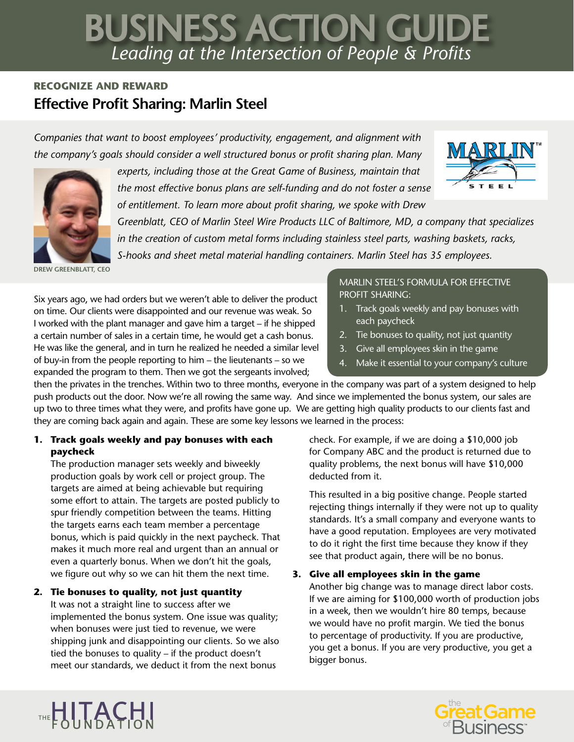# *Leading at the Intersection of People & Profits* BUSINESS ACTION GUIDE

## **RECOGNIZE AND REWARD Effective Profit Sharing: Marlin Steel**

*Companies that want to boost employees' productivity, engagement, and alignment with the company's goals should consider a well structured bonus or profit sharing plan. Many* 



*experts, including those at the Great Game of Business, maintain that the most effective bonus plans are self-funding and do not foster a sense of entitlement. To learn more about profit sharing, we spoke with Drew* 



*Greenblatt, CEO of Marlin Steel Wire Products LLC of Baltimore, MD, a company that specializes in the creation of custom metal forms including stainless steel parts, washing baskets, racks, S-hooks and sheet metal material handling containers. Marlin Steel has 35 employees.*

**DREW GREENBLATT, CEO**

Six years ago, we had orders but we weren't able to deliver the product on time. Our clients were disappointed and our revenue was weak. So I worked with the plant manager and gave him a target – if he shipped a certain number of sales in a certain time, he would get a cash bonus. He was like the general, and in turn he realized he needed a similar level of buy-in from the people reporting to him – the lieutenants – so we expanded the program to them. Then we got the sergeants involved;

#### MARLIN STEEL'S FORMULA FOR EFFECTIVE PROFIT SHARING:

- 1. Track goals weekly and pay bonuses with each paycheck
- 2. Tie bonuses to quality, not just quantity
- 3. Give all employees skin in the game
- 4. Make it essential to your company's culture

then the privates in the trenches. Within two to three months, everyone in the company was part of a system designed to help push products out the door. Now we're all rowing the same way. And since we implemented the bonus system, our sales are up two to three times what they were, and profits have gone up. We are getting high quality products to our clients fast and they are coming back again and again. These are some key lessons we learned in the process:

#### **1. Track goals weekly and pay bonuses with each paycheck**

The production manager sets weekly and biweekly production goals by work cell or project group. The targets are aimed at being achievable but requiring some effort to attain. The targets are posted publicly to spur friendly competition between the teams. Hitting the targets earns each team member a percentage bonus, which is paid quickly in the next paycheck. That makes it much more real and urgent than an annual or even a quarterly bonus. When we don't hit the goals, we figure out why so we can hit them the next time.

### **2. Tie bonuses to quality, not just quantity**

THE HITACHI

It was not a straight line to success after we implemented the bonus system. One issue was quality; when bonuses were just tied to revenue, we were shipping junk and disappointing our clients. So we also tied the bonuses to quality – if the product doesn't meet our standards, we deduct it from the next bonus

check. For example, if we are doing a \$10,000 job for Company ABC and the product is returned due to quality problems, the next bonus will have \$10,000 deducted from it.

This resulted in a big positive change. People started rejecting things internally if they were not up to quality standards. It's a small company and everyone wants to have a good reputation. Employees are very motivated to do it right the first time because they know if they see that product again, there will be no bonus.

### **3. Give all employees skin in the game**

Another big change was to manage direct labor costs. If we are aiming for \$100,000 worth of production jobs in a week, then we wouldn't hire 80 temps, because we would have no profit margin. We tied the bonus to percentage of productivity. If you are productive, you get a bonus. If you are very productive, you get a bigger bonus.